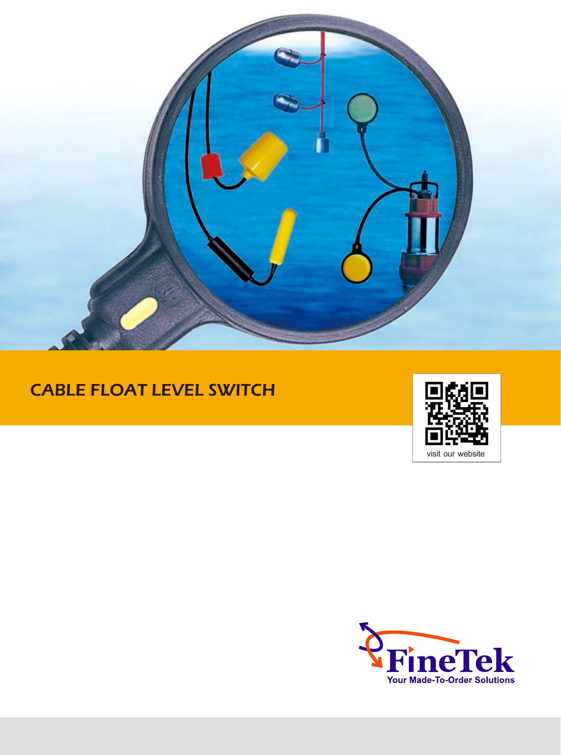

# CABLE FLOAT LEVEL SWITCH



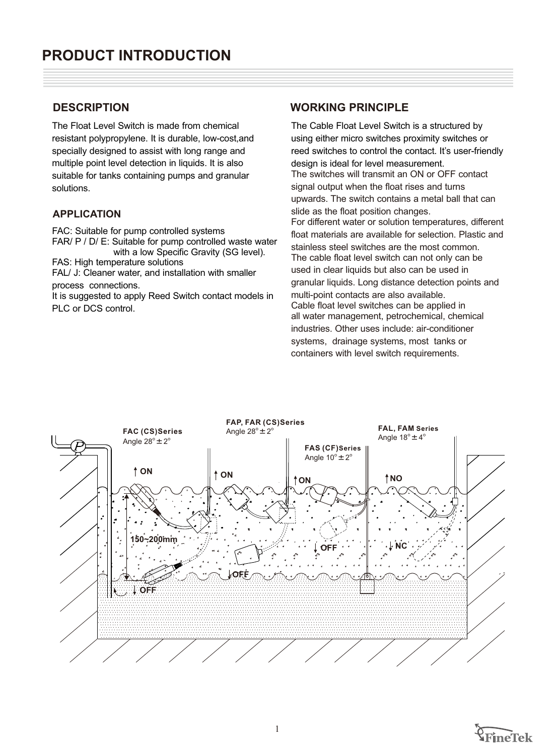The Float Level Switch is made from chemical resistant polypropylene. It is durable, low-cost,and specially designed to assist with long range and multiple point level detection in liquids. It is also suitable for tanks containing pumps and granular solutions.

### **APPLICATION**

FAC: Suitable for pump controlled systems FAR/ P / D/ E: Suitable for pump controlled waste water with a low Specific Gravity (SG level). FAS: High temperature solutions FAL/ J: Cleaner water, and installation with smaller

process connections.

It is suggested to apply Reed Switch contact models in PLC or DCS control.

### **DESCRIPTION WORKING PRINCIPLE**

The Cable Float Level Switch is a structured by using either micro switches proximity switches or reed switches to control the contact. It's user-friendly design is ideal for level measurement. The switches will transmit an ON or OFF contact signal output when the float rises and turns upwards. The switch contains a metal ball that can slide as the float position changes. For different water or solution temperatures, different float materials are available for selection. Plastic and stainless steel switches are the most common. The cable float level switch can not only can be used in clear liquids but also can be used in granular liquids. Long distance detection points and multi-point contacts are also available. Cable float level switches can be applied in all water management, petrochemical, chemical industries. Other uses include: air-conditioner systems, drainage systems, most tanks or containers with level switch requirements.



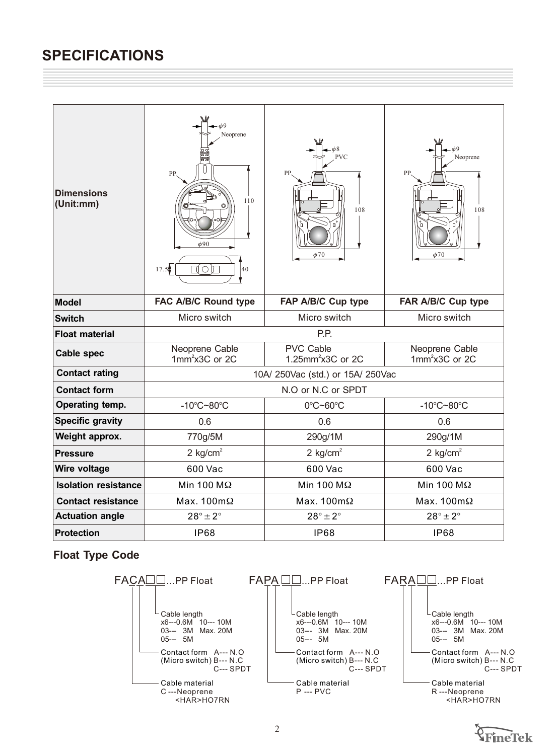| <b>Dimensions</b><br>(Unit:mm)                         | $\phi$ <sup>9</sup><br>Neoprene<br>PP.<br>110<br>$\phi$ 90<br>$\circ$<br>17.5<br>П<br>40 | $\phi$ 8<br><b>PVC</b><br>PP.<br>108<br>$\phi$ 70 | $\phi$ <sup>9</sup><br>Neoprene<br>PP.<br>108<br>$\phi$ 70 |
|--------------------------------------------------------|------------------------------------------------------------------------------------------|---------------------------------------------------|------------------------------------------------------------|
| <b>Model</b>                                           | FAC A/B/C Round type                                                                     | FAP A/B/C Cup type                                | FAR A/B/C Cup type                                         |
| <b>Switch</b>                                          | Micro switch                                                                             | Micro switch                                      | Micro switch                                               |
| <b>Float material</b>                                  | P.P.                                                                                     |                                                   |                                                            |
| Neoprene Cable<br><b>Cable spec</b><br>$1mm2x3C$ or 2C |                                                                                          | <b>PVC Cable</b><br>1.25mm <sup>2</sup> x3C or 2C | Neoprene Cable<br>$1mm2x3C$ or 2C                          |
| <b>Contact rating</b>                                  | 10A/ 250Vac (std.) or 15A/ 250Vac                                                        |                                                   |                                                            |
| <b>Contact form</b>                                    | N.O or N.C or SPDT                                                                       |                                                   |                                                            |
| Operating temp.                                        | $-10^{\circ}$ C~80 $^{\circ}$ C                                                          |                                                   | $-10^{\circ}$ C~80 $^{\circ}$ C                            |
| <b>Specific gravity</b>                                | 0.6                                                                                      | 0.6                                               | 0.6                                                        |
| Weight approx.                                         | 770g/5M                                                                                  | 290g/1M                                           | 290g/1M                                                    |
| <b>Pressure</b>                                        | 2 $kg/cm2$                                                                               | 2 $kg/cm2$                                        | 2 $kg/cm2$                                                 |
| Wire voltage                                           | 600 Vac                                                                                  | 600 Vac                                           | 600 Vac                                                    |
| <b>Isolation resistance</b>                            | Min 100 M $\Omega$                                                                       | Min 100 M $\Omega$                                | Min 100 M $\Omega$                                         |
| <b>Contact resistance</b>                              | Max. $100 \text{m}\Omega$                                                                |                                                   | Max. $100 \text{m}\Omega$                                  |
| <b>Actuation angle</b>                                 | $28^\circ \pm 2^\circ$                                                                   | $28^\circ \pm 2^\circ$                            | $28^\circ \pm 2^\circ$                                     |
| <b>Protection</b>                                      | <b>IP68</b>                                                                              | <b>IP68</b>                                       | <b>IP68</b>                                                |



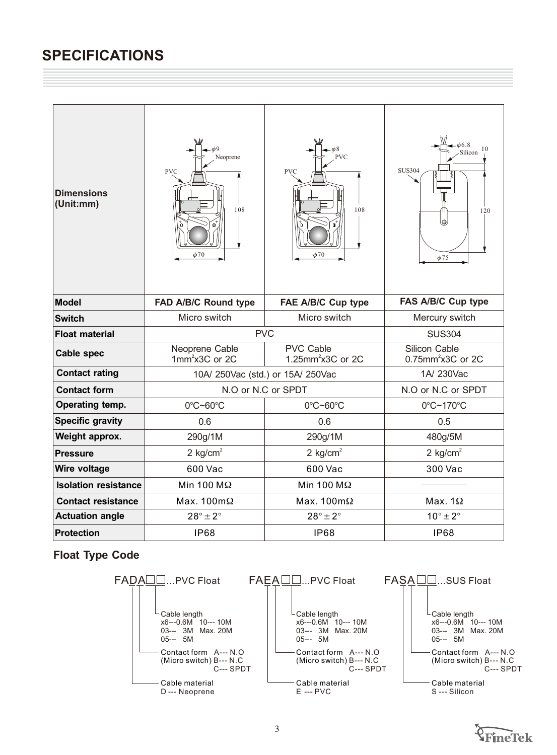| <b>Dimensions</b><br>(Unit:mm)                         | 69<br>Neoprene<br><b>PVC</b><br>108<br>$\phi$ 70 | <b>PVC</b><br><b>PVC</b><br>108<br>$\phi$ 70 | 66.8<br>10<br>Silicon<br><b>SUS304</b><br>120<br>lo,<br>$\phi$ 75 |  |
|--------------------------------------------------------|--------------------------------------------------|----------------------------------------------|-------------------------------------------------------------------|--|
| <b>Model</b>                                           | FAD A/B/C Round type                             | FAE A/B/C Cup type                           | FAS A/B/C Cup type                                                |  |
| <b>Switch</b>                                          | Micro switch                                     | Micro switch                                 | Mercury switch                                                    |  |
| <b>Float material</b>                                  | <b>PVC</b>                                       |                                              | <b>SUS304</b>                                                     |  |
| Neoprene Cable<br><b>Cable spec</b><br>$1mm2x3C$ or 2C |                                                  | PVC Cable<br>1.25mm <sup>2</sup> x3C or 2C   | Silicon Cable<br>$0.75$ mm <sup>2</sup> x3C or 2C                 |  |
| <b>Contact rating</b>                                  | 10A/ 250Vac (std.) or 15A/ 250Vac                |                                              | 1A/230Vac                                                         |  |
| <b>Contact form</b>                                    | N.O or N.C or SPDT                               |                                              | N.O or N.C or SPDT                                                |  |
| Operating temp.                                        | 0°C~60°C                                         | 0°C~60°C                                     | 0°C~170°C                                                         |  |
| <b>Specific gravity</b>                                | 0.6                                              | 0.6                                          | 0.5                                                               |  |
| Weight approx.                                         | 290g/1M                                          | 290g/1M                                      | 480g/5M                                                           |  |
| <b>Pressure</b>                                        | 2 kg/cm <sup>2</sup>                             | 2 $kg/cm2$                                   | 2 $kg/cm2$                                                        |  |
| Wire voltage                                           | 600 Vac                                          | 600 Vac                                      | 300 Vac                                                           |  |
| <b>Isolation resistance</b>                            | Min 100 M $\Omega$                               | Min 100 M $\Omega$                           |                                                                   |  |
| <b>Contact resistance</b>                              | Max. $100 \text{m}\Omega$                        | Max. $100 \text{m}\Omega$                    | Max. $1\Omega$                                                    |  |
| <b>Actuation angle</b>                                 | $28^\circ \pm 2^\circ$                           | $28^\circ \pm 2^\circ$                       | $10^{\circ} \pm 2^{\circ}$                                        |  |
| <b>Protection</b>                                      | <b>IP68</b>                                      | <b>IP68</b>                                  | <b>IP68</b>                                                       |  |



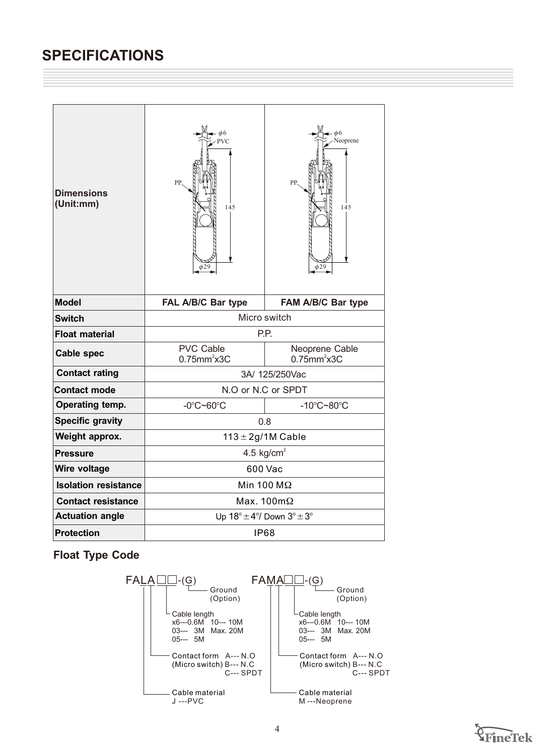| <b>Dimensions</b><br>(Unit:mm) | $\phi$ 6<br>VC<br>PP.<br>145<br>$\phi$ 29                      | $\phi$ 6<br>Veoprene<br>PP.<br>145<br>$\phi$ 29 |  |
|--------------------------------|----------------------------------------------------------------|-------------------------------------------------|--|
| <b>Model</b>                   | FAL A/B/C Bar type                                             | FAM A/B/C Bar type                              |  |
| <b>Switch</b>                  | Micro switch                                                   |                                                 |  |
| <b>Float material</b>          | P.P.                                                           |                                                 |  |
| <b>Cable spec</b>              | <b>PVC Cable</b><br>$0.75$ mm $2$ x3C                          | Neoprene Cable<br>$0.75$ mm <sup>2</sup> x3C    |  |
| <b>Contact rating</b>          | 3A/ 125/250Vac                                                 |                                                 |  |
| <b>Contact mode</b>            | N.O or N.C or SPDT                                             |                                                 |  |
| Operating temp.                | -10°C~80°C<br>$-0^{\circ}$ C~60 $^{\circ}$ C                   |                                                 |  |
| <b>Specific gravity</b>        | 0.8                                                            |                                                 |  |
| Weight approx.                 | $113 \pm 2g/1M$ Cable                                          |                                                 |  |
| <b>Pressure</b>                | 4.5 kg/cm <sup>2</sup>                                         |                                                 |  |
| Wire voltage                   | 600 Vac                                                        |                                                 |  |
| <b>Isolation resistance</b>    | Min 100 M $\Omega$                                             |                                                 |  |
| <b>Contact resistance</b>      | Max. $100 \text{m}\Omega$                                      |                                                 |  |
| <b>Actuation angle</b>         | Up $18^{\circ} \pm 4^{\circ}$ / Down $3^{\circ} \pm 3^{\circ}$ |                                                 |  |
| <b>Protection</b>              | <b>IP68</b>                                                    |                                                 |  |



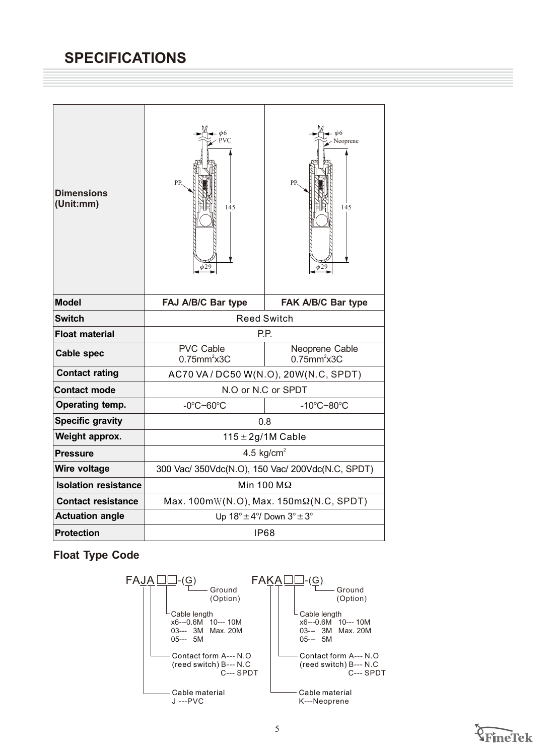| <b>Dimensions</b><br>(Unit:mm) | PVC<br>PP.<br>145<br>$\phi$ 29                                    | $\phi$ 6<br>Neoprene<br>PP.<br>145<br>$\phi$ 29 |  |
|--------------------------------|-------------------------------------------------------------------|-------------------------------------------------|--|
| <b>Model</b>                   | FAJ A/B/C Bar type<br>FAK A/B/C Bar type                          |                                                 |  |
| <b>Switch</b>                  | <b>Reed Switch</b>                                                |                                                 |  |
| <b>Float material</b>          | P.P.                                                              |                                                 |  |
| <b>Cable spec</b>              | <b>PVC Cable</b><br>$0.75$ mm $2$ x3C                             | Neoprene Cable<br>$0.75$ mm <sup>2</sup> x3C    |  |
| <b>Contact rating</b>          | AC70 VA / DC50 W(N.O), 20W(N.C, SPDT)                             |                                                 |  |
| <b>Contact mode</b>            | N.O or N.C or SPDT                                                |                                                 |  |
| Operating temp.                | $-0^{\circ}$ C~60 $^{\circ}$ C<br>$-10^{\circ}$ C $-80^{\circ}$ C |                                                 |  |
| <b>Specific gravity</b>        | 0.8                                                               |                                                 |  |
| Weight approx.                 | $115 \pm 2g/1M$ Cable                                             |                                                 |  |
| <b>Pressure</b>                | 4.5 $kg/cm2$                                                      |                                                 |  |
| Wire voltage                   | 300 Vac/ 350Vdc(N.O), 150 Vac/ 200Vdc(N.C, SPDT)                  |                                                 |  |
| <b>Isolation resistance</b>    | Min 100 M $\Omega$                                                |                                                 |  |
| <b>Contact resistance</b>      | Max. $100mW(N.O)$ , Max. $150m\Omega(N.C, SPDT)$                  |                                                 |  |
| <b>Actuation angle</b>         | Up $18^{\circ} \pm 4^{\circ}$ / Down $3^{\circ} \pm 3^{\circ}$    |                                                 |  |
| <b>Protection</b>              | IP68                                                              |                                                 |  |



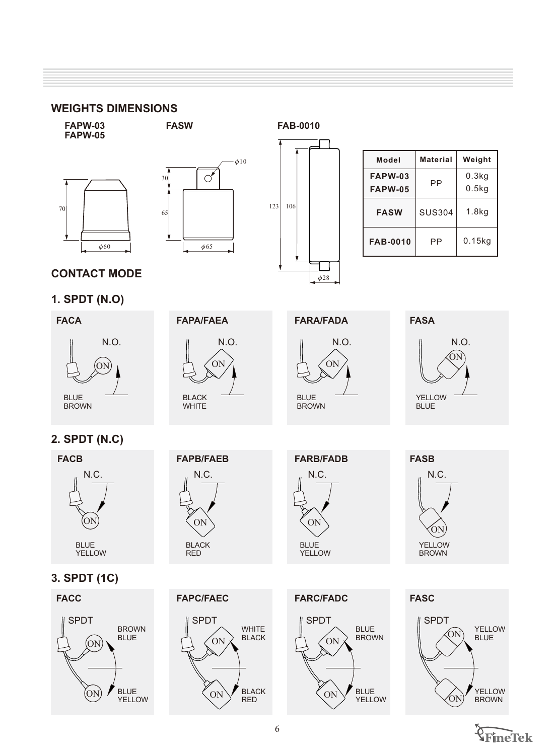123 106

#### **WEIGHTS DIMENSIONS**

**FAPW-05**





**FASW**

**FAPW-03 FAB-0010**

| Model           | Material      | Weight |
|-----------------|---------------|--------|
| <b>FAPW-03</b>  |               | 0.3kg  |
| <b>FAPW-05</b>  | РP            | 0.5kg  |
| <b>FASW</b>     | <b>SUS304</b> | 1.8kg  |
| <b>FAB-0010</b> | РP            | 0.15kg |

### **CONTACT MODE**

### **1. SPDT (N.O)**





**FARA/FADA**

 $\phi$ 28



**FASA**



### **2. SPDT (N.C)**



## **3. SPDT (1C)**





SPDT

ON

ON













**WHITE BLACK** 

BLACK RED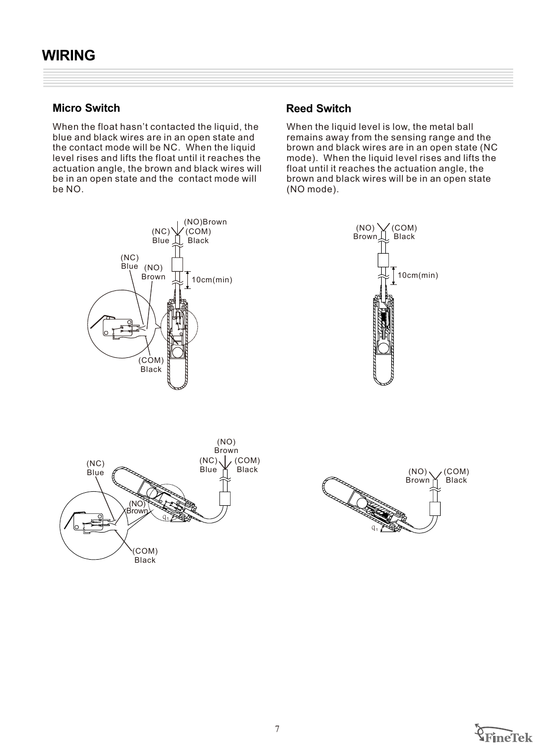### **Micro Switch <b>Reed Switch Reed Switch**

When the float hasn't contacted the liquid, the blue and black wires are in an open state and the contact mode will be NC. When the liquid level rises and lifts the float until it reaches the actuation angle, the brown and black wires will be in an open state and the contact mode will be NO.



When the liquid level is low, the metal ball remains away from the sensing range and the brown and black wires are in an open state (NC mode). When the liquid level rises and lifts the float until it reaches the actuation angle, the brown and black wires will be in an open state (NO mode).







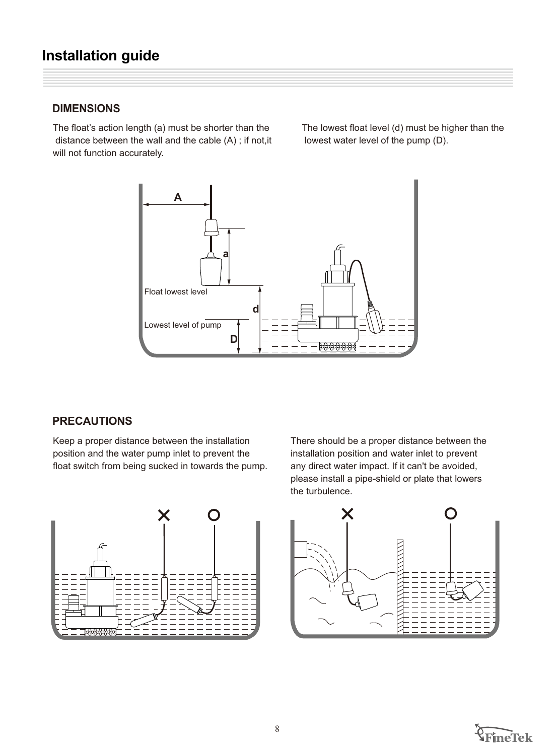### **DIMENSIONS**

The float's action length (a) must be shorter than the distance between the wall and the cable (A) ; if not,it will not function accurately.

The lowest float level (d) must be higher than the lowest water level of the pump (D).



### **PRECAUTIONS**

Keep a proper distance between the installation position and the water pump inlet to prevent the float switch from being sucked in towards the pump. There should be a proper distance between the installation position and water inlet to prevent any direct water impact. If it can't be avoided, please install a pipe-shield or plate that lowers the turbulence.





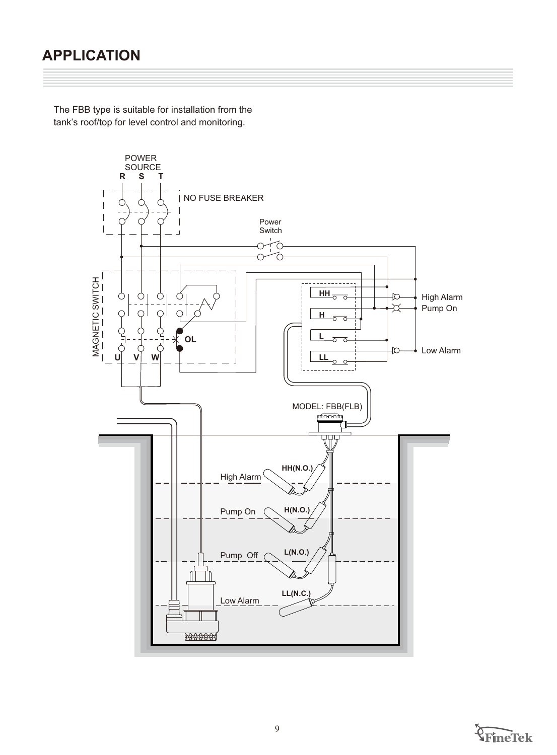### **APPLICATION**

The FBB type is suitable for installation from the tank's roof/top for level control and monitoring.



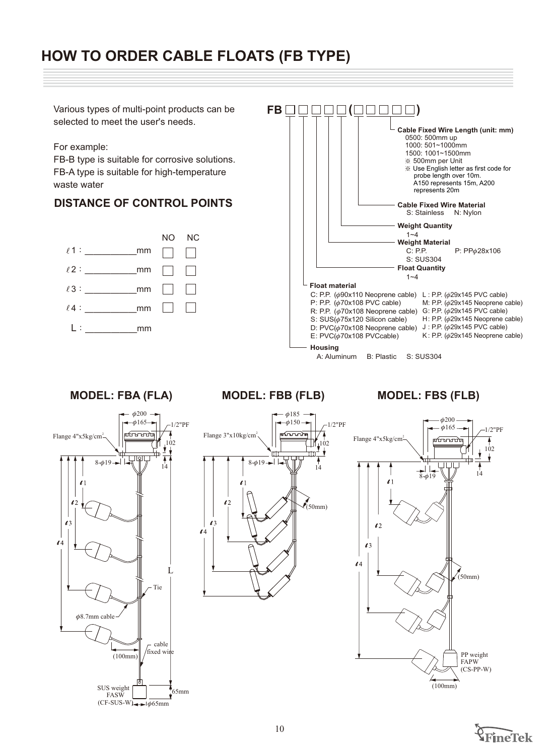### **HOW TO ORDER CABLE FLOATS (FB TYPE)**

Various types of multi-point products can be **FB ( )** selected to meet the user's needs. **Cable Fixed Wire Length (unit: mm)** 0500: 500mm up 1000: 501~1000mm For example: 1500: 1001~1500mm FB-B type is suitable for corrosive solutions. ※ 500mm per Unit ※ Use English letter as first code for FB-A type is suitable for high-temperature probe length over 10m. A150 represents 15m, A200 waste water represents 20m **DISTANCE OF CONTROL POINTS Analysis Cable Fixed Wire Material** S: Stainless N: Nylon  **Weight Quantity** 1~4 NO NC **Weight Material**<br>C: P.P.  $\ell$  1: mm  $\Box$ C: P.P.  $P: PP\phi 28x106$ S: SUS304  **Float Quantity** 2:ˍˍˍˍˍˍmm  $1 - 4$  **Float material**  $\ell$ 3: mm C: P.P.  $(\phi$ 90x110 Neoprene cable) L: P.P.  $(\phi$ 29x145 PVC cable) P: P.P.  $(φ70x108 \text{ PVC cable})$ M: P.P.  $\phi$ 29x145 Neoprene cable)  $\ell$  4 : mm R: P.P.  $(\phi 70x108$  Neoprene cable) G: P.P.  $(\phi 29x145$  PVC cable) S:  $SUS(\phi 75x120$  Silicon cable) H: P.P.  $(\phi$ 29x145 Neoprene cable) L:ˍˍˍˍˍˍmm D: PVC $(\phi$ 70x108 Neoprene cable) J : P.P.  $(\phi$ 29x145 PVC cable) K: P.P.  $\phi$ 29x145 Neoprene cable)  $E: PVC(\phi 70x108 PVCcable)$  **Housing** A: Aluminum B: Plastic S: SUS304 **MODEL: FBA (FLA) MODEL: FBB (FLB) MODEL: FBS (FLB)**  $\phi$ 200  $\phi$ 185  $\phi$ 200  $\phi$ 165-1/2"PF  $-\phi$ 150  $-1/2$ "PF  $\phi$ 165  $-1/2$ " $PF$ Flange 4"x5kg/cm<sup>2</sup>-តណណត Flange 3"x10kg/cm Flange 4"x5kg/cm  $\overline{\mathbf{A}}$ 102  $\frac{1}{2}$ H 102  $\begin{picture}(100,10) \put(0,0){\line(1,0){10}} \put(10,0){\line(1,0){10}} \put(10,0){\line(1,0){10}} \put(10,0){\line(1,0){10}} \put(10,0){\line(1,0){10}} \put(10,0){\line(1,0){10}} \put(10,0){\line(1,0){10}} \put(10,0){\line(1,0){10}} \put(10,0){\line(1,0){10}} \put(10,0){\line(1,0){10}} \put(10,0){\line(1,0){10}} \put(10,0){\line($ ╈ ìΜ  $\overline{\blacklozenge}$  $8-$ 619 $\rightarrow$ 1 14 14 . | | 14  $-61$  $\mathbf{Z}$  $\mathbf{Z}$  $\ell$  $\mathcal{L}$ (50mm)  $\mathbf{C}$  $\mathbf{C}$  $\mathbf{Z}$  $\mathbf{z}$  $\mathbf{Z}$  $\mathbf{C}$  $\mathbf{6}4$ L (50mm) Tie  $\phi$ 8.7mm cable cable  $/\text{fixed win}$ (100mm) PP weight<br>FAPW (CS-PP-W) Z (100mm) SUS weight<br>
FASW 65mm  $(CF-SUS-W)$   $\leftrightarrow$   $\phi$ 65mm